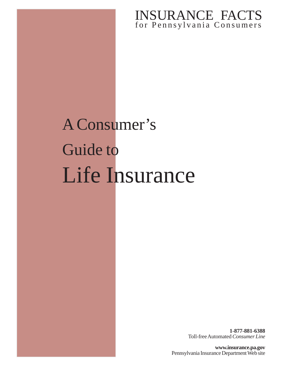# for Pennsylvania Consumers INSURANCE FACTS

# A Consumer's Guide to Life Insurance

**1-877-881-6388** Toll-free Automated *Consumer Line*

**www.insurance.pa.gov** Pennsylvania Insurance Department Web site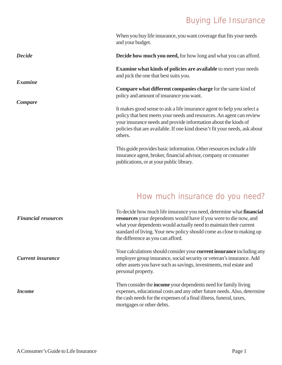# Buying Life Insurance

When you buy life insurance, you want coverage that fits your needs and your budget.

**Decide how much you need,** for how long and what you can afford.

**Examine what kinds of policies are available** to meet your needs and pick the one that best suits you.

**Compare what different companies charge** for the same kind of policy and amount of insurance you want.

It makes good sense to ask a life insurance agent to help you select a policy that best meets your needs and resources. An agent can review your insurance needs and provide information about the kinds of policies that are available. If one kind doesn't fit your needs, ask about others.

This guide provides basic information. Other resources include a life insurance agent, broker, financial advisor, company or consumer publications, or at your public library.

# How much insurance do you need?

To decide how much life insurance you need, determine what **financial resources** your dependents would have if you were to die now, and what your dependents would actually need to maintain their current standard of living. Your new policy should come as close to making up the difference as you can afford.

Your calculations should consider your **current insurance** including any employer group insurance, social security or veteran's insurance. Add other assets you have such as savings, investments, real estate and personal property.

Then consider the **income** your dependents need for family living expenses, educational costs and any other future needs. Also, determine the cash needs for the expenses of a final illness, funeral, taxes, mortgages or other debts.

*Financial resources*

*Current insurance*

*Income*

*Decide*

*Examine*

*Compare*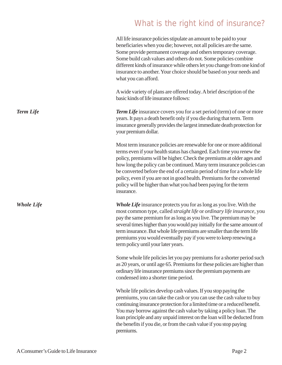# What is the right kind of insurance?

All life insurance policies stipulate an amount to be paid to your beneficiaries when you die; however, not all policies are the same. Some provide permanent coverage and others temporary coverage. Some build cash values and others do not. Some policies combine different kinds of insurance while others let you change from one kind of insurance to another. Your choice should be based on your needs and what you can afford.

A wide variety of plans are offered today. A brief description of the basic kinds of life insurance follows:

*Term Life* insurance covers you for a set period (term) of one or more years. It pays a death benefit only if you die during that term. Term insurance generally provides the largest immediate death protection for your premium dollar.

Most term insurance policies are renewable for one or more additional terms even if your health status has changed. Each time you renew the policy, premiums will be higher. Check the premiums at older ages and how long the policy can be continued. Many term insurance policies can be converted before the end of a certain period of time for a whole life policy, even if you are not in good health. Premiums for the converted policy will be higher than what you had been paying for the term insurance.

*Whole Life* insurance protects you for as long as you live. With the most common type, called *straight life* or *ordinary life insurance*, you pay the same premium for as long as you live. The premium may be several times higher than you would pay initially for the same amount of term insurance. But whole life premiums are smaller than the term life premiums you would eventually pay if you were to keep renewing a term policy until your later years.

Some whole life policies let you pay premiums for a shorter period such as 20 years, or until age 65. Premiums for these policies are higher than ordinary life insurance premiums since the premium payments are condensed into a shorter time period.

Whole life policies develop cash values. If you stop paying the premiums, you can take the cash or you can use the cash value to buy continuing insurance protection for a limited time or a reduced benefit. You may borrow against the cash value by taking a policy loan. The loan principle and any unpaid interest on the loan will be deducted from the benefits if you die, or from the cash value if you stop paying premiums.

*Term Life*

*Whole Life*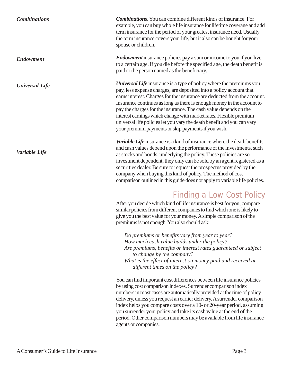| <b>Combinations</b>   | <b>Combinations.</b> You can combine different kinds of insurance. For<br>example, you can buy whole life insurance for lifetime coverage and add<br>term insurance for the period of your greatest insurance need. Usually<br>the term insurance covers your life, but it also can be bought for your<br>spouse or children.                                                                                                                                                                                                                                                       |
|-----------------------|-------------------------------------------------------------------------------------------------------------------------------------------------------------------------------------------------------------------------------------------------------------------------------------------------------------------------------------------------------------------------------------------------------------------------------------------------------------------------------------------------------------------------------------------------------------------------------------|
| <b>Endowment</b>      | <i>Endowment</i> insurance policies pay a sum or income to you if you live<br>to a certain age. If you die before the specified age, the death benefit is<br>paid to the person named as the beneficiary.                                                                                                                                                                                                                                                                                                                                                                           |
| <b>Universal Life</b> | <b>Universal Life</b> insurance is a type of policy where the premiums you<br>pay, less expense charges, are deposited into a policy account that<br>earns interest. Charges for the insurance are deducted from the account.<br>Insurance continues as long as there is enough money in the account to<br>pay the charges for the insurance. The cash value depends on the<br>interest earnings which change with market rates. Flexible premium<br>universal life policies let you vary the death benefit and you can vary<br>your premium payments or skip payments if you wish. |
| Variable Life         | Variable Life insurance is a kind of insurance where the death benefits<br>and cash values depend upon the performance of the investments, such<br>es stocks and bonds, underlying the policy. These policies are so                                                                                                                                                                                                                                                                                                                                                                |

as stocks and bonds, underlying the policy. These policies are so

company when buying this kind of policy. The method of cost

*Do premiums or benefits vary from year to year? How much cash value builds under the policy?*

premiums is not enough. You also should ask:

*to change by the company?*

*different times on the policy?*

agents or companies.

investment dependent, they only can be sold by an agent registered as a securities dealer. Be sure to request the prospectus provided by the

comparison outlined in this guide does not apply to variable life policies.

After you decide which kind of life insurance is best for you, compare similar policies from different companies to find which one is likely to give you the best value for your money. A simple comparison of the

*Are premiums, benefits or interest rates guaranteed or subject*

*What is the effect of interest on money paid and received at*

You can find important cost differences between life insurance policies by using cost comparison indexes. Surrender comparison index

numbers in most cases are automatically provided at the time of policy delivery, unless you request an earlier delivery. A surrender comparison index helps you compare costs over a 10- or 20-year period, assuming you surrender your policy and take its cash value at the end of the period. Other comparison numbers may be available from life insurance

Finding a Low Cost Policy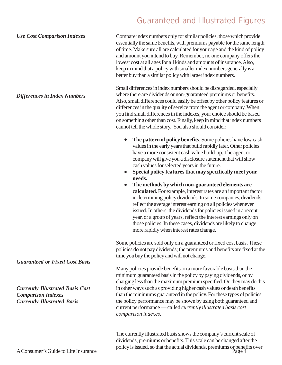# Guaranteed and Illustrated Figures

Compare index numbers only for similar policies, those which provide essentially the same benefits, with premiums payable for the same length of time. Make sure all are calculated for your age and the kind of policy and amount you intend to buy. Remember, no one company offers the lowest cost at all ages for all kinds and amounts of insurance. Also, keep in mind that a policy with smaller index numbers generally is a better buy than a similar policy with larger index numbers. *Use Cost Comparison Indexes*

> Small differences in index numbers should be disregarded, especially where there are dividends or non-guaranteed premiums or benefits. Also, small differences could easily be offset by other policy features or differences in the quality of service from the agent or company. When you find small differences in the indexes, your choice should be based on something other than cost. Finally, keep in mind that index numbers cannot tell the whole story. You also should consider:

- **The pattern of policy benefits**. Some policies have low cash values in the early years that build rapidly later. Other policies have a more consistent cash value build-up. The agent or company will give you a disclosure statement that will show cash values for selected years in the future.
- **Special policy features that may specifically meet your needs.**
- **The methods by which non-guaranteed elements are calculated.** For example, interest rates are an important factor in determining policy dividends. In some companies, dividends reflect the average interest earning on all policies whenever issued. In others, the dividends for policies issued in a recent year, or a group of years, reflect the interest earnings only on those policies. In these cases, dividends are likely to change more rapidly when interest rates change.

Some policies are sold only on a guaranteed or fixed cost basis. These policies do not pay dividends; the premiums and benefits are fixed at the time you buy the policy and will not change.

Many policies provide benefits on a more favorable basis than the minimum guaranteed basis in the policy by paying dividends, or by charging less than the maximum premium specified. Or, they may do this in other ways such as providing higher cash values or death benefits than the minimums guaranteed in the policy. For these types of policies, the policy performance may be shown by using both guaranteed and current performance — called *currently illustrated basis cost comparison indexes*.

The currently illustrated basis shows the company's current scale of dividends, premiums or benefits. This scale can be changed after the policy is issued, so that the actual dividends, premiums or benefits over

*Guaranteed or Fixed Cost Basis*

*Differences in Index Numbers*

*Currently Illustrated Basis Cost Comparison Indexes Currently Illustrated Basis*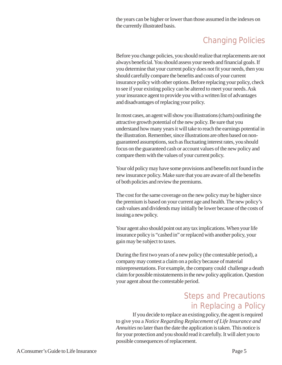the years can be higher or lower than those assumed in the indexes on the currently illustrated basis.

# Changing Policies

Before you change policies, you should realize that replacements are not always beneficial. You should assess your needs and financial goals. If you determine that your current policy does not fit your needs, then you should carefully compare the benefits and costs of your current insurance policy with other options. Before replacing your policy, check to see if your existing policy can be altered to meet your needs. Ask your insurance agent to provide you with a written list of advantages and disadvantages of replacing your policy.

In most cases, an agent will show you illustrations (charts) outlining the attractive growth potential of the new policy. Be sure that you understand how many years it will take to reach the earnings potential in the illustration. Remember, since illustrations are often based on nonguaranteed assumptions, such as fluctuating interest rates, you should focus on the guaranteed cash or account values of the new policy and compare them with the values of your current policy.

Your old policy may have some provisions and benefits not found in the new insurance policy. Make sure that you are aware of all the benefits of both policies and review the premiums.

The cost for the same coverage on the new policy may be higher since the premium is based on your current age and health. The new policy's cash values and dividends may initially be lower because of the costs of issuing a new policy.

Your agent also should point out any tax implications. When your life insurance policy is "cashed in" or replaced with another policy, your gain may be subject to taxes.

During the first two years of a new policy (the contestable period), a company may contest a claim on a policy because of material misrepresentations. For example, the company could challenge a death claim for possible misstatements in the new policy application. Question your agent about the contestable period.

## Steps and Precautions in Replacing a Policy

If you decide to replace an existing policy, the agent is required to give you a *Notice Regarding Replacement of Life Insurance and Annuities* no later than the date the application is taken. This notice is for your protection and you should read it carefully. It will alert you to possible consequences of replacement.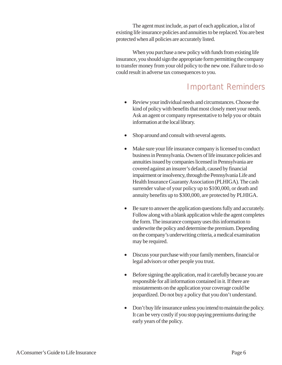The agent must include, as part of each application, a list of existing life insurance policies and annuities to be replaced. You are best protected when all policies are accurately listed.

When you purchase a new policy with funds from existing life insurance, you should sign the appropriate form permitting the company to transfer money from your old policy to the new one. Failure to do so could result in adverse tax consequences to you.

# Important Reminders

- Review your individual needs and circumstances. Choose the kind of policy with benefits that most closely meet your needs. Ask an agent or company representative to help you or obtain information at the local library.
- Shop around and consult with several agents.
- Make sure your life insurance company is licensed to conduct business in Pennsylvania. Owners of life insurance policies and annuities issued by companies licensed in Pennsylvania are covered against an insurer's default, caused by financial impairment or insolvency, through the Pennsylvania Life and Health Insurance Guaranty Association (PLHIGA). The cash surrender value of your policy up to \$100,000, or death and annuity benefits up to \$300,000, are protected by PLHIGA.
- Be sure to answer the application questions fully and accurately. Follow along with a blank application while the agent completes the form. The insurance company uses this information to underwrite the policy and determine the premium. Depending on the company's underwriting criteria, a medical examination may be required.
- Discuss your purchase with your family members, financial or legal advisors or other people you trust.
- Before signing the application, read it carefully because you are responsible for all information contained in it. If there are misstatements on the application your coverage could be jeopardized. Do not buy a policy that you don't understand.
- Don't buy life insurance unless you intend to maintain the policy. It can be very costly if you stop paying premiums during the early years of the policy.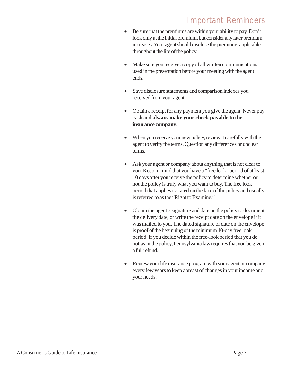# Important Reminders

- Be sure that the premiums are within your ability to pay. Don't look only at the initial premium, but consider any later premium increases. Your agent should disclose the premiums applicable throughout the life of the policy.
- Make sure you receive a copy of all written communications used in the presentation before your meeting with the agent ends.
- Save disclosure statements and comparison indexes you received from your agent.
- Obtain a receipt for any payment you give the agent. Never pay cash and **always make your check payable to the insurance company**.
- When you receive your new policy, review it carefully with the agent to verify the terms. Question any differences or unclear terms.
- Ask your agent or company about anything that is not clear to you. Keep in mind that you have a "free look" period of at least 10 days after you receive the policy to determine whether or not the policy is truly what you want to buy. The free look period that applies is stated on the face of the policy and usually is referred to as the "Right to Examine."
- Obtain the agent's signature and date on the policy to document the delivery date, or write the receipt date on the envelope if it was mailed to you. The dated signature or date on the envelope is proof of the beginning of the minimum 10-day free look period. If you decide within the free-look period that you do not want the policy, Pennsylvania law requires that you be given a full refund.
- Review your life insurance program with your agent or company every few years to keep abreast of changes in your income and your needs.